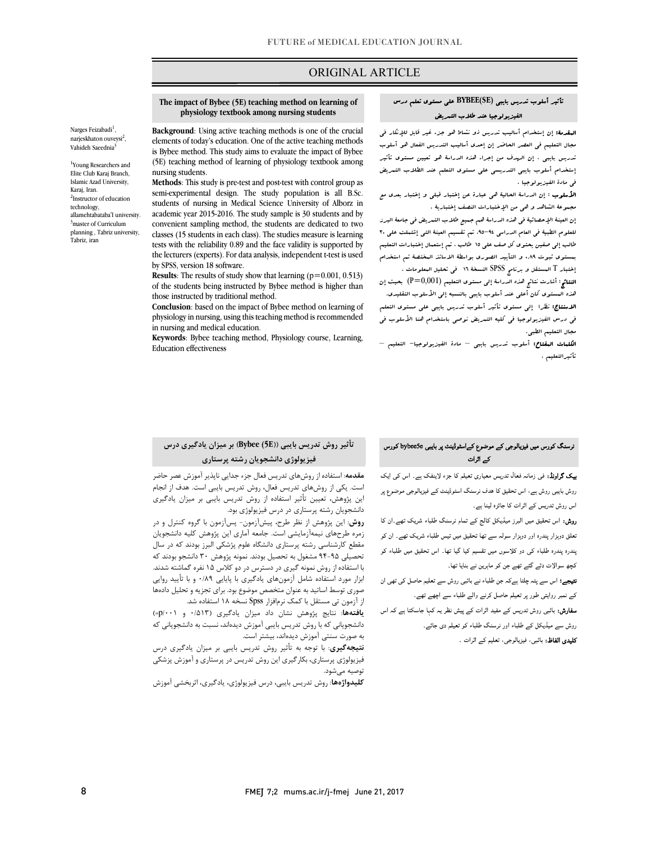## ORIGINAL ARTICLE

## تأثیر أسلوب تدریس بایبی **(SE(BYBEE** علی مستوي تعلم درس الفیزیولوجیا عند طلاب التمریض

ص

 المقدمۀ: إن إستخدام أسالیب تدریس ذو نشاط هو جزء غیر قابل للإنکار فی مجال التعلیم فی العصر الحاضر إن إحدي أسالیب التدریس الفعال هو أسلوب إستخدام أسلوب بایبی التدریسی علی مستوي التعلم عند الطلاب التمریض فی مادة الفیزیولوجیا . تدریس بایبی ، إن الهدف من إجراء هذه الدراسۀ هو تعیین مستوي تأثیر

 الأسلوب : إن الدراسۀ الحالیۀ هی عبارة عن إختبار قبلی و إختبار بعدي مع مجموعۀ الشاهد و هی من الإختبارات النصف إختباریۀ .

 إن العینۀ الإحصائیۀ فی هذه الدراسۀ هم جمیع طلاب التمریض فی جامعۀ البرز للعلوم الطبیۀ فی العام الدراسی ۹£-۹۵. تم تقسیم العینۀ التی إشتملت علی ۳۰<br>. بر بمستوي ثبوت رسول في السيد العربي بالمجتمع بالمجتمع المستوي السيد الصوري السيد.<br>بتستوي ثبوت ٨.٩. و التأييد الصوري بواسطۀ الاساتذ المختصۀ تم استخدام إختبار T المستقل و برنامج SPSS النسخۀ 16 فی تحلیل المعلومات . طالب إلی صفین یحتوي کل صف علی 15 طالب ، تم إستعمال إختبارات التعلیم

 النتائج: أشارت نتائج هذه الدراسۀ إلی مستوي التعلیم (0,001=P (بحیث إن هذه المستوي کان أعلی عند أسلوب بایبی بالنسبه إلی الأسلوب التقلیدي. الاسنتاج: نظرا إلی مستوي تأثیر أسلوب تدریس بایبی علی مستوي التعلم فی درس الفیزیولوجیا فی کلیه التمریض نوصی باستخدام هنا الأسلوب فی مجال التعلیم الطبی.<br>م

**الکلمات البفتاح:** أسلوب تدریس بایبی – مادة الفیزیولوجیا– التعلیم –<br>تفصیلات تأثیرالتعلیم .

#### **The impact of Bybee (5E) teaching method on learning of physiology textbook among nursing students**

Ī

**Background:** Using active teaching inethods is one of the crucial elements of today's education. One of the active teaching methods is Bybee method. This study aims to evaluate the impact of Bybee (5E) teaching method of learning of physiology textbook among **Background**: Using active teaching methods is one of the crucial nursing students.

 **Methods**: This study is pre-test and post-test with control group as semi-experimental design. The study population is all B.Sc. students of nursing in Medical Science University of Alborz in convenient sampling method, the students are dedicated to two classes (15 students in each class). The studies measure is learning the lecturers (experts). For data analysis, independent t-test is used academic year 2015-2016. The study sample is 30 students and by tests with the reliability 0.89 and the face validity is supported by by SPSS, version 18 software.

**Results**: The results of study show that learning (p=0.001, 0.513) of the students being instructed by Bybee method is higher than those instructed by traditional method.

 **Conclusion**: based on the impact of Bybee method on learning of physiology in nursing, using this teaching method is recommended in nursing and medical education.

 **Keywords**: Bybee teaching method, Physiology course, Learning, Education effectiveness

### نرسنگ کورس میں فیزیالوجی کے موضوع کےاسٹوڈینٹ پر بایبی bybee5e کورس<br>میں ایک میں ایک میں میں ایک میں میں ایک میں ایک میں ایک میں ایک میں ایک میں ایک میں ایک میں ایک میں کہ اڈ ات

روش بایبی روش ہے، اس تحقیق کا ہدف نرسنگ اسٹوڈینٹ کے فیزیالوجی موضوع پر اس روش تدریس کے اثرات کا جائزہ لینا ہے۔

**روش:** اس تحقیق میں البرز میڈیکل کالج کے تمام نرسنگ طلباء شریک تھے۔ان کا تعلق دوہزار پندرہ اور دوہزار سولہ سے تھا تحقیق میں تیس طلباء شریک تھے۔ ان کو پندرہ پندرہ طلباء کی دو کلاسوں میں تقسیم کیا گیا تھا۔ اس تحقیق میں طلباء کو کچھ سوالات دئے گئے تھے جن کو ماہرین نے بنایا تھا۔

**نتیجے؛** اس سے پتہ چلتا ہےکہ جن طلباء نے بائبی روش سے تعلیم حاصل کی تھی ان کے نمبر روایتی طور پر تعیلم حاصل کرنے والے طلباء سے اچھے تھے۔

**سفارش:** بائبی روش تدریس کے مفید اثرات کے پیش نظر یہ کہا جاسکتا ہے کہ اس روش سے میڈیکل کے طلباء اور نرسنگ طلباء کو تعیلم دی جائے۔

**کلیدی الفاظ:** بائبی، فیزیالوجی، تعلیم کے اثرات ۔

# **فیزیولوژي دانشجویان رشته پرستاري** Ĭ

 او: ز ل ر ری ء ۔ اس ا **مقدمه**: استفاده از روشهاي تدریس فعال جزء جدایی ناپذیر آموزش عصر حاضر **مقدمه**: استفاده از روشهای تدریس فعال جزء جدایی ناپذیر آموزش عصر حاضر این پژوهش، تعیین تأثیر استفاده از روش تدریس بایبی بر میزان یادگیري دانشجویان رشته پرستاري در درس فیزیولوژي بود. است. یکی از روشهاي تدریس فعال، روش تدریس بایبی است. هدف از انجام

 **روش**: این پژوهش از نظر طرح، پیشآزمون- پسآزمون با گروه کنترل و در زمره طرحهاي نیمهآزمایشی است. جامعه آماري این پژوهش کلیه دانشجویان تحصیلی 94-95 مشغول به تحصیل بودند. نمونه پژوهش 30 دانشجو بودند که با استفاده از روش نمونه گیري در دسترس در دو کلاس 15 نفره گماشته شدند. ابزار مورد استفاده شامل آزمونهاي یادگیري با پایایی 0/89 و با تأیید روایی از آزمون تی مستقل با کمک نرمافزار Spss نسخه 18 استفاده شد. مقطع کارشناسی رشته پرستاري دانشگاه علوم پژشکی البرز بودند که در سال صوري توسط اساتید به عنوان متخصص موضوع بود. براي تجزیه و تحلیل دادهها

 **یافتهها**: نتایج پژوهش نشان داد میزان یادگیري (0/513 و /001p (= دانشجویانی که با روش تدریس بایبی آموزش دیدهاند، نسبت به دانشجویانی که به صورت سنتی آموزش دیدهاند، بیشتر است.

 **نتیجهگیري**: با توجه به تأثیر روش تدریس بایبی بر میزان یادگیري درس فیزیولوژی پرستاری، بکارگیری این روش تدریس در پرستاری و آموزش پزشکی<br>تصنیه میشمد توصیه میشود.

**کلیدواژهها**: روش تدریس بایبی، درس فیزیولوژي، یادگیري، اثربخشی آموزش

**تأثیر روش تدریس بایبی ((E5 (Bybee (بر میزان یادگیري درس** 

narjeskhaton ouveysi<sup>2</sup>, Vahideh Saeednia<sup>3</sup> <sup>1</sup>Young Researchers and Elite Club Karaj Branch, Islamic Azad University,

Narges Feizabadi<sup>1</sup>,

Karaj, Iran. <sup>2</sup>Instructor of education technology, allamehtabataba'I university. 3 master of Curriculum planning , Tabriz university, Tabriz, iran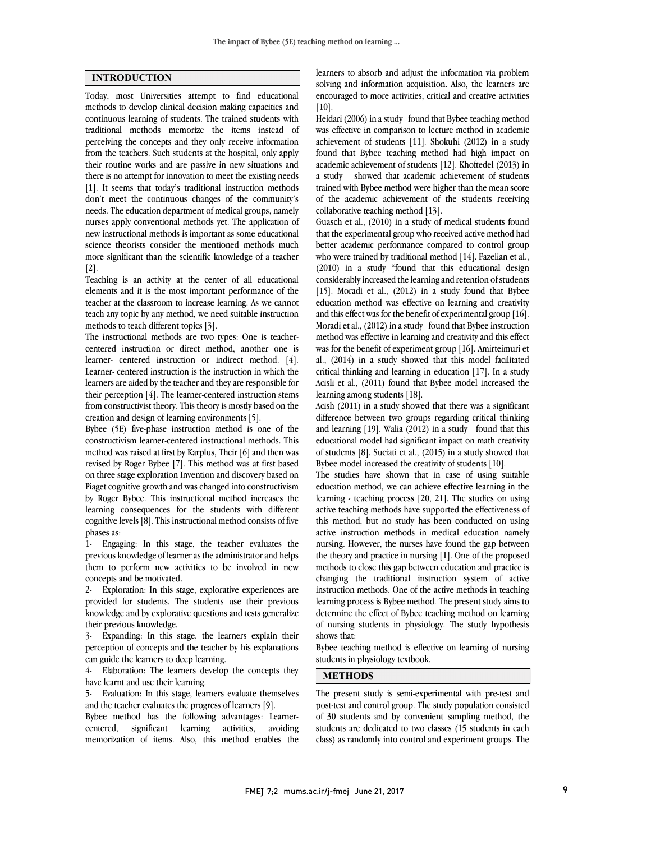## **INTRODUCTION**

Today, most Universities attempt to find educational methods to develop clinical decision making capacities and continuous learning of students. The trained students with traditional methods memorize the items instead of perceiving the concepts and they only receive information from the teachers. Such students at the hospital, only apply their routine works and are passive in new situations and there is no attempt for innovation to meet the existing needs [1]. It seems that today's traditional instruction methods don't meet the continuous changes of the community's needs. The education department of medical groups, namely nurses apply conventional methods yet. The application of new instructional methods is important as some educational science theorists consider the mentioned methods much more significant than the scientific knowledge of a teacher [2].

Teaching is an activity at the center of all educational elements and it is the most important performance of the teacher at the classroom to increase learning. As we cannot teach any topic by any method, we need suitable instruction methods to teach different topics [3].

The instructional methods are two types: One is teachercentered instruction or direct method, another one is learner- centered instruction or indirect method. [4]. Learner- centered instruction is the instruction in which the learners are aided by the teacher and they are responsible for their perception [4]. The learner-centered instruction stems from constructivist theory. This theory is mostly based on the creation and design of learning environments [5].

Bybee (5E) five-phase instruction method is one of the constructivism learner-centered instructional methods. This method was raised at first by Karplus, Their [6] and then was revised by Roger Bybee [7]. This method was at first based on three stage exploration Invention and discovery based on Piaget cognitive growth and was changed into constructivism by Roger Bybee. This instructional method increases the learning consequences for the students with different cognitive levels [8]. This instructional method consists of five phases as:

1- Engaging: In this stage, the teacher evaluates the previous knowledge of learner as the administrator and helps them to perform new activities to be involved in new concepts and be motivated.

2- Exploration: In this stage, explorative experiences are provided for students. The students use their previous knowledge and by explorative questions and tests generalize their previous knowledge.

3- Expanding: In this stage, the learners explain their perception of concepts and the teacher by his explanations can guide the learners to deep learning.

4- Elaboration: The learners develop the concepts they have learnt and use their learning.

5- Evaluation: In this stage, learners evaluate themselves and the teacher evaluates the progress of learners [9].

Bybee method has the following advantages: Learnercentered, significant learning activities, avoiding memorization of items. Also, this method enables the

 solving and information acquisition. Also, the learners are encouraged to more activities, critical and creative activities [10]. learners to absorb and adjust the information via problem

 Heidari (2006) in a study found that Bybee teaching method was eneed in comparison to letture include in academic<br>achievement of students [11]. Shokuhi (2012) in a study found that Bybee teaching method had high impact on academic achievement of students [12]. Khoftedel (2013) in a study showed that academic achievement of students of the academic achievement of the students receiving collaborative teaching method [13]. was effective in comparison to lecture method in academic trained with Bybee method were higher than the mean score

 Guasch et al., (2010) in a study of medical students found that the experimental group who received active method had better academic performance compared to control group (2010) in a study "found that this educational design considerably increased the learning and retention of students [15]. Moradi et al., (2012) in a study found that Bybee and this effect was for the benefit of experimental group [16]. Moradi et al., (2012) in a study found that Bybee instruction method was effective in learning and creativity and this effect was for the benefit of experiment group [16]. Amirteimuri et al.,  $(2014)$  in a study showed that this model facilitated Acisli et al., (2011) found that Bybee model increased the learning among students [18]. who were trained by traditional method [14]. Fazelian et al., education method was effective on learning and creativity critical thinking and learning in education [17]. In a study

 Acish (2011) in a study showed that there was a significant and learning [19]. Walia (2012) in a study found that this educational model had significant impact on math creativity of students [8]. Suciati et al., (2015) in a study showed that Bybee model increased the creativity of students [10]. difference between two groups regarding critical thinking

 education method, we can achieve effective learning in the learning - teaching process [20, 21]. The studies on using active teaching methods have supported the effectiveness of this method, but no study has been conducted on using nursing. However, the nurses have found the gap between the theory and practice in nursing [1]. One of the proposed methods to close this gap between education and practice is changing the traditional instruction system of active learning process is Bybee method. The present study aims to determine the effect of Bybee teaching method on learning of nursing students in physiology. The study hypothesis shows that: The studies have shown that in case of using suitable active instruction methods in medical education namely instruction methods. One of the active methods in teaching

students in physiology textbook. Bybee teaching method is effective on learning of nursing

## $\overline{a}$ **METHODS**

 The present study is semi-experimental with pre-test and of 30 students and by convenient sampling method, the students are dedicated to two classes (15 students in each class) as randomly into control and experiment groups. The post-test and control group. The study population consisted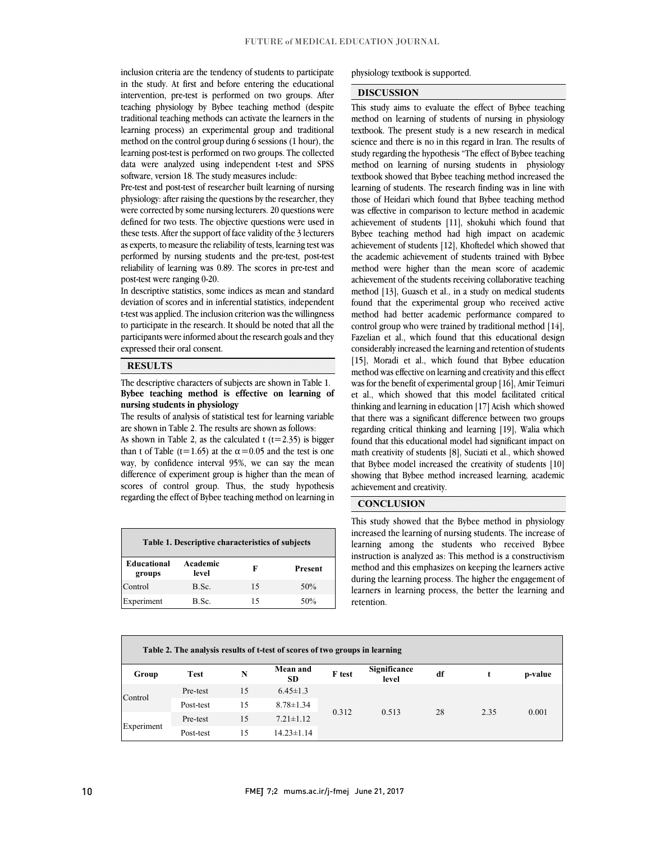inclusion chicha are the tendency of students to participate<br>in the study. At first and before entering the educational intervention, pre-test is performed on two groups. After teaching physiology by Bybee teaching method (despite traditional teaching methods can activate the learners in the method on the control group during 6 sessions (1 hour), the learning post-test is performed on two groups. The collected data were analyzed using independent t-test and SPSS software, version 18. The study measures include: inclusion criteria are the tendency of students to participate learning process) an experimental group and traditional

 physiology: after raising the questions by the researcher, they were corrected by some nursing lecturers. 20 questions were defined for two tests. The objective questions were used in these tests. After the support of face validity of the 3 lecturers as experts, to measure the reliability of tests, learning test was reliability of learning was 0.89. The scores in pre-test and Pre-test and post-test of researcher built learning of nursing performed by nursing students and the pre-test, post-test post-test were ranging 0-20.

 In descriptive statistics, some indices as mean and standard t-test was applied. The inclusion criterion was the willingness to participate in the research. It should be noted that all the participants were informed about the research goals and they deviation of scores and in inferential statistics, independent expressed their oral consent.

#### **RESULTS**

 The descriptive characters of subjects are shown in Table 1. **Bybee teaching method is effective on learning of nursing students in physiology** 

nursing students in physiology<br>The results of analysis of statistical test for learning variable are shown in Table 2. The results are shown as follows:

As shown in Table 2, as the calculated  $t$  ( $t=2.35$ ) is bigger than t of Table (t=1.65) at the  $\alpha$ =0.05 and the test is one way, by confidence interval 95%, we can say the mean scores of control group. Thus, the study hypothesis regarding the effect of Bybee teaching method on learning in difference of experiment group is higher than the mean of

| Table 1. Descriptive characteristics of subjects |                   |    |                |  |  |  |  |  |  |
|--------------------------------------------------|-------------------|----|----------------|--|--|--|--|--|--|
| <b>Educational</b><br>groups                     | Academic<br>level | F  | <b>Present</b> |  |  |  |  |  |  |
| Control                                          | B.Sc.             | 15 | 50%            |  |  |  |  |  |  |
| Experiment                                       | B.Sc.             | 15 | 50%            |  |  |  |  |  |  |

#### physiology textbook is supported.

#### **DISCUSSION**

 This study aims to evaluate the effect of Bybee teaching method on learning of students of nursing in physiology textbook. The present study is a new research in medical study regarding the hypothesis "The effect of Bybee teaching method on learning of nursing students in physiology textbook showed that Bybee teaching method increased the learning of students. The research finding was in line with was effective in comparison to lecture method in academic achievement of students [11], shokuhi which found that Bybee teaching method had high impact on academic achievement of students [12], Khoftedel which showed that method were higher than the mean score of academic achievement of the students receiving collaborative teaching method [13], Guasch et al., in a study on medical students method had better academic performance compared to control group who were trained by traditional method  $[14]$ , Fazelian et al., which found that this educational design considerably increased the learning and retention of students [15], Moradi et al., which found that Bybee education was for the benefit of experimental group [16], Amir Teimuri et al., which showed that this model facilitated critical thinking and learning in education [17] Acish which showed regarding critical thinking and learning [19], Walia which found that this educational model had significant impact on math creativity of students [8], Suciati et al., which showed that Bybee model increased the creativity of students [10] showing that Bybee method increased learning, academic  $\overline{a}$ science and there is no in this regard in Iran. The results of those of Heidari which found that Bybee teaching method the academic achievement of students trained with Bybee found that the experimental group who received active method was effective on learning and creativity and this effect that there was a significant difference between two groups achievement and creativity.

#### **CONCLUSION**

 This study showed that the Bybee method in physiology learning among the students who received Bybee instruction is analyzed as: This method is a constructivism method and this emphasizes on keeping the learners active during the learning process. The higher the engagement of learners in learning process, the better the learning and increased the learning of nursing students. The increase of retention.

L

| Table 2. The analysis results of t-test of scores of two groups in learning |             |    |                       |        |                       |    |      |         |  |
|-----------------------------------------------------------------------------|-------------|----|-----------------------|--------|-----------------------|----|------|---------|--|
| Group                                                                       | <b>Test</b> | N  | Mean and<br><b>SD</b> | F test | Significance<br>level | df |      | p-value |  |
| Control                                                                     | Pre-test    | 15 | $6.45 \pm 1.3$        | 0.312  | 0.513                 | 28 | 2.35 | 0.001   |  |
|                                                                             | Post-test   | 15 | $8.78 \pm 1.34$       |        |                       |    |      |         |  |
| Experiment                                                                  | Pre-test    | 15 | $7.21 \pm 1.12$       |        |                       |    |      |         |  |
|                                                                             | Post-test   | 15 | $14.23 \pm 1.14$      |        |                       |    |      |         |  |